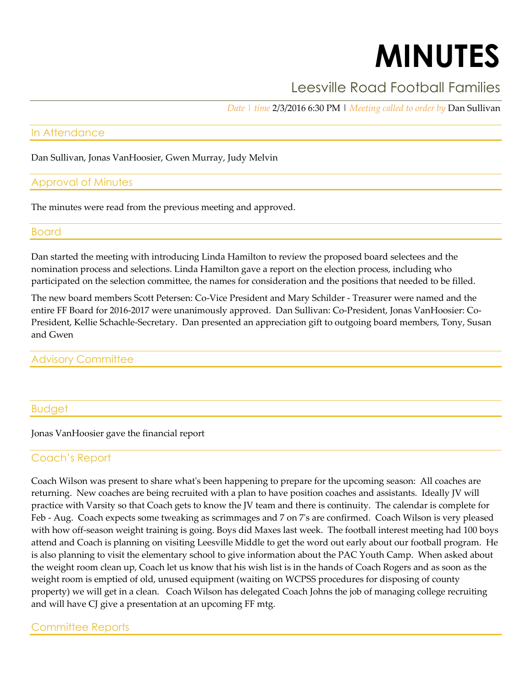# **MINUTES**

# Leesville Road Football Families

*Date | time* 2/3/2016 6:30 PM | *Meeting called to order by* Dan Sullivan

#### In Attendance

Dan Sullivan, Jonas VanHoosier, Gwen Murray, Judy Melvin

#### Approval of Minutes

The minutes were read from the previous meeting and approved.

#### Board

Dan started the meeting with introducing Linda Hamilton to review the proposed board selectees and the nomination process and selections. Linda Hamilton gave a report on the election process, including who participated on the selection committee, the names for consideration and the positions that needed to be filled.

The new board members Scott Petersen: Co-Vice President and Mary Schilder - Treasurer were named and the entire FF Board for 2016-2017 were unanimously approved. Dan Sullivan: Co-President, Jonas VanHoosier: Co-President, Kellie Schachle-Secretary. Dan presented an appreciation gift to outgoing board members, Tony, Susan and Gwen

#### Advisory Committee

#### Budget

Jonas VanHoosier gave the financial report

## Coach's Report

Coach Wilson was present to share what's been happening to prepare for the upcoming season: All coaches are returning. New coaches are being recruited with a plan to have position coaches and assistants. Ideally JV will practice with Varsity so that Coach gets to know the JV team and there is continuity. The calendar is complete for Feb - Aug. Coach expects some tweaking as scrimmages and 7 on 7's are confirmed. Coach Wilson is very pleased with how off-season weight training is going. Boys did Maxes last week. The football interest meeting had 100 boys attend and Coach is planning on visiting Leesville Middle to get the word out early about our football program. He is also planning to visit the elementary school to give information about the PAC Youth Camp. When asked about the weight room clean up, Coach let us know that his wish list is in the hands of Coach Rogers and as soon as the weight room is emptied of old, unused equipment (waiting on WCPSS procedures for disposing of county property) we will get in a clean. Coach Wilson has delegated Coach Johns the job of managing college recruiting and will have CJ give a presentation at an upcoming FF mtg.

## Committee Reports